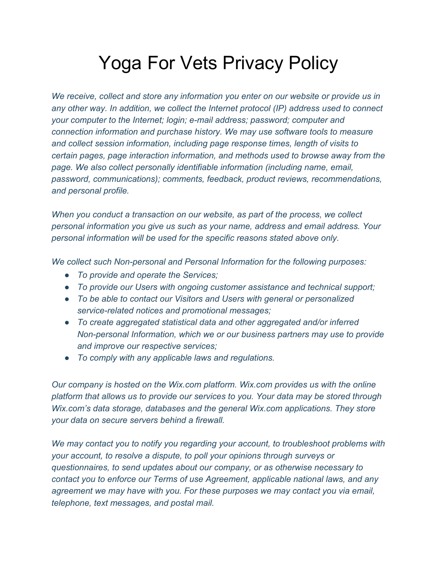## Yoga For Vets Privacy Policy

*We receive, collect and store any information you enter on our website or provide us in any other way. In addition, we collect the Internet protocol (IP) address used to connect your computer to the Internet; login; e-mail address; password; computer and connection information and purchase history. We may use software tools to measure and collect session information, including page response times, length of visits to certain pages, page interaction information, and methods used to browse away from the page. We also collect personally identifiable information (including name, email, password, communications); comments, feedback, product reviews, recommendations, and personal profile.*

*When you conduct a transaction on our website, as part of the process, we collect personal information you give us such as your name, address and email address. Your personal information will be used for the specific reasons stated above only.*

*We collect such Non-personal and Personal Information for the following purposes:*

- *● To provide and operate the Services;*
- *● To provide our Users with ongoing customer assistance and technical support;*
- *● To be able to contact our Visitors and Users with general or personalized service-related notices and promotional messages;*
- *● To create aggregated statistical data and other aggregated and/or inferred Non-personal Information, which we or our business partners may use to provide and improve our respective services;*
- *● To comply with any applicable laws and regulations.*

*Our company is hosted on the Wix.com platform. Wix.com provides us with the online platform that allows us to provide our services to you. Your data may be stored through Wix.com's data storage, databases and the general Wix.com applications. They store your data on secure servers behind a firewall.*

*We may contact you to notify you regarding your account, to troubleshoot problems with your account, to resolve a dispute, to poll your opinions through surveys or questionnaires, to send updates about our company, or as otherwise necessary to contact you to enforce our Terms of use Agreement, applicable national laws, and any agreement we may have with you. For these purposes we may contact you via email, telephone, text messages, and postal mail.*